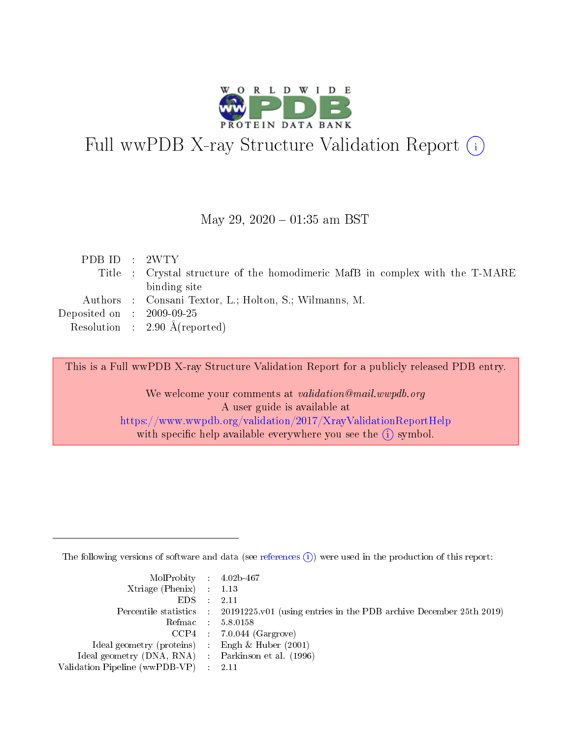

# Full wwPDB X-ray Structure Validation Report (i)

#### May 29,  $2020 - 01:35$  am BST

| PDB ID : 2WTY                        |                                                                              |
|--------------------------------------|------------------------------------------------------------------------------|
|                                      | Title : Crystal structure of the homodimeric MafB in complex with the T-MARE |
|                                      | binding site                                                                 |
|                                      | Authors : Consani Textor, L.; Holton, S.; Wilmanns, M.                       |
| Deposited on $\therefore$ 2009-09-25 |                                                                              |
|                                      | Resolution : $2.90 \text{ Å}$ (reported)                                     |

This is a Full wwPDB X-ray Structure Validation Report for a publicly released PDB entry.

We welcome your comments at validation@mail.wwpdb.org A user guide is available at <https://www.wwpdb.org/validation/2017/XrayValidationReportHelp> with specific help available everywhere you see the  $(i)$  symbol.

The following versions of software and data (see [references](https://www.wwpdb.org/validation/2017/XrayValidationReportHelp#references)  $(i)$ ) were used in the production of this report:

| MolProbity : 4.02b-467                              |                                                                                            |
|-----------------------------------------------------|--------------------------------------------------------------------------------------------|
| Xtriage (Phenix) $: 1.13$                           |                                                                                            |
| $EDS = 2.11$                                        |                                                                                            |
|                                                     | Percentile statistics : 20191225.v01 (using entries in the PDB archive December 25th 2019) |
|                                                     | Refmac : 5.8.0158                                                                          |
|                                                     | $CCP4$ : 7.0.044 (Gargrove)                                                                |
| Ideal geometry (proteins) : Engh $\&$ Huber (2001)  |                                                                                            |
| Ideal geometry (DNA, RNA) : Parkinson et al. (1996) |                                                                                            |
| Validation Pipeline (wwPDB-VP) : 2.11               |                                                                                            |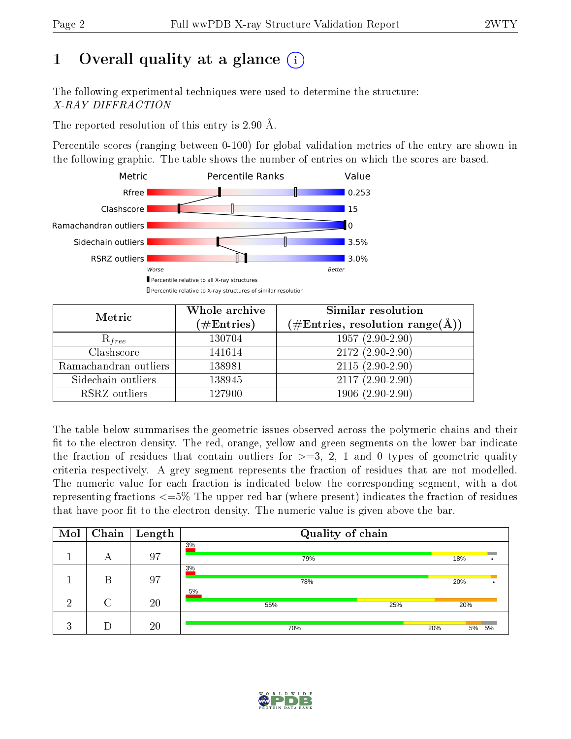# 1 [O](https://www.wwpdb.org/validation/2017/XrayValidationReportHelp#overall_quality)verall quality at a glance  $(i)$

The following experimental techniques were used to determine the structure: X-RAY DIFFRACTION

The reported resolution of this entry is 2.90 Å.

Percentile scores (ranging between 0-100) for global validation metrics of the entry are shown in the following graphic. The table shows the number of entries on which the scores are based.



| Metric                | Whole archive<br>$(\#\text{Entries})$ | Similar resolution<br>$(\#\text{Entries},\,\text{resolution}\,\,\text{range}(\textup{\AA}))$ |
|-----------------------|---------------------------------------|----------------------------------------------------------------------------------------------|
| $R_{free}$            | 130704                                | $1957(2.90-2.90)$                                                                            |
| Clashscore            | 141614                                | $2172(2.90-2.90)$                                                                            |
| Ramachandran outliers | 138981                                | $2115(2.90-2.90)$                                                                            |
| Sidechain outliers    | 138945                                | $2117(2.90-2.90)$                                                                            |
| RSRZ outliers         | 127900                                | $1906(2.90-2.90)$                                                                            |

The table below summarises the geometric issues observed across the polymeric chains and their fit to the electron density. The red, orange, yellow and green segments on the lower bar indicate the fraction of residues that contain outliers for  $>=3, 2, 1$  and 0 types of geometric quality criteria respectively. A grey segment represents the fraction of residues that are not modelled. The numeric value for each fraction is indicated below the corresponding segment, with a dot representing fractions  $\epsilon=5\%$  The upper red bar (where present) indicates the fraction of residues that have poor fit to the electron density. The numeric value is given above the bar.

| Mol          |   | $\fbox{Chain}$ [ Length | Quality of chain |              |
|--------------|---|-------------------------|------------------|--------------|
|              | А | 97                      | 3%<br>79%        | 18%          |
|              | В | 97                      | 3%<br>78%        | 20%          |
| ച            |   | 20                      | 5%<br>55%<br>25% | 20%          |
| ച<br>$\cdot$ |   | 20                      | 70%              | 5% 5%<br>20% |

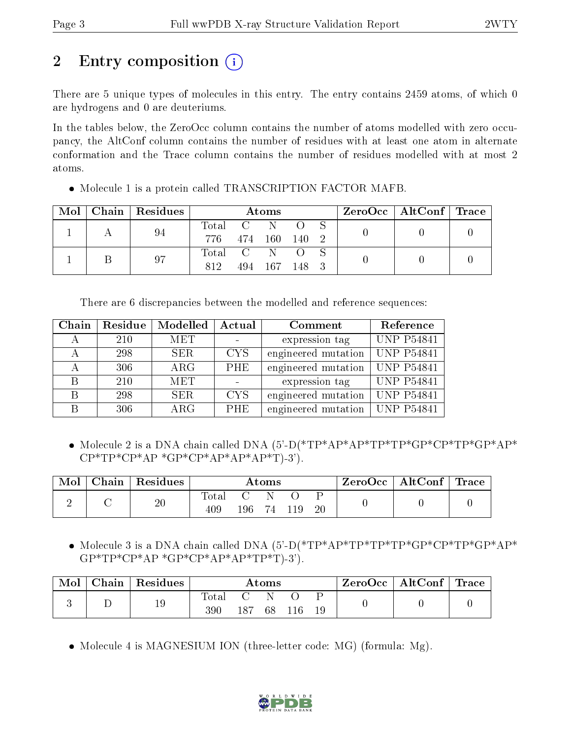# 2 Entry composition  $\left( \cdot \right)$

There are 5 unique types of molecules in this entry. The entry contains 2459 atoms, of which 0 are hydrogens and 0 are deuteriums.

In the tables below, the ZeroOcc column contains the number of atoms modelled with zero occupancy, the AltConf column contains the number of residues with at least one atom in alternate conformation and the Trace column contains the number of residues modelled with at most 2 atoms.

| Mol | Chain   Residues |               | Atoms         |       |  | $\text{ZeroOcc}$   AltConf   Trace |  |
|-----|------------------|---------------|---------------|-------|--|------------------------------------|--|
|     | 94               | Total C N O S |               |       |  |                                    |  |
|     |                  | 776 474 160   |               | 140 2 |  |                                    |  |
|     | 97               | Total C N O   |               |       |  |                                    |  |
|     |                  | 812           | 494 167 148 3 |       |  |                                    |  |

• Molecule 1 is a protein called TRANSCRIPTION FACTOR MAFB.

There are 6 discrepancies between the modelled and reference sequences:

| Chain | Residue | Modelled   | Actual     | Comment             | Reference         |
|-------|---------|------------|------------|---------------------|-------------------|
|       | 210     | <b>MET</b> |            | expression tag      | <b>UNP P54841</b> |
|       | 298     | SER.       | <b>CYS</b> | engineered mutation | UNP P54841        |
|       | 306     | $\rm{ARG}$ | <b>PHE</b> | engineered mutation | <b>UNP P54841</b> |
| R     | 210     | <b>MET</b> |            | expression tag      | <b>UNP P54841</b> |
| B     | 298     | SER.       | <b>CYS</b> | engineered mutation | <b>UNP P54841</b> |
|       | 306     | $\rm{ARG}$ | <b>PHE</b> | engineered mutation | <b>UNP P54841</b> |

 Molecule 2 is a DNA chain called DNA (5'-D(\*TP\*AP\*AP\*TP\*TP\*GP\*CP\*TP\*GP\*AP\*  $CP^*TP^*CP^*AP^*GP^*AP^*AP^*AP^*AP^*T)-3$ ').

| Mol | Chain | Residues | Atoms               |     |  | $\text{ZeroOcc} \mid \text{AltConf} \mid \text{Trace}$ |    |  |  |
|-----|-------|----------|---------------------|-----|--|--------------------------------------------------------|----|--|--|
|     |       | 20       | <b>Total</b><br>409 | 196 |  |                                                        | 20 |  |  |

• Molecule 3 is a DNA chain called DNA (5'-D(\*TP\*AP\*TP\*TP\*TP\*GP\*CP\*TP\*GP\*AP\*  $GP*TP*CP*AP*GP*AP*AP*AP*TP*TP*T).3$ 

| Mol | Chain | $\,$ Residues |                         |     | $\bm{\mathrm{Atoms}}$ |     |    | $\text{ZeroOcc} \mid \text{AltConf} \mid \text{Trace}$ |  |
|-----|-------|---------------|-------------------------|-----|-----------------------|-----|----|--------------------------------------------------------|--|
|     |       | 19            | $\mathrm{Total}$<br>390 | 187 | 68                    | 116 | 19 |                                                        |  |

• Molecule 4 is MAGNESIUM ION (three-letter code: MG) (formula: Mg).

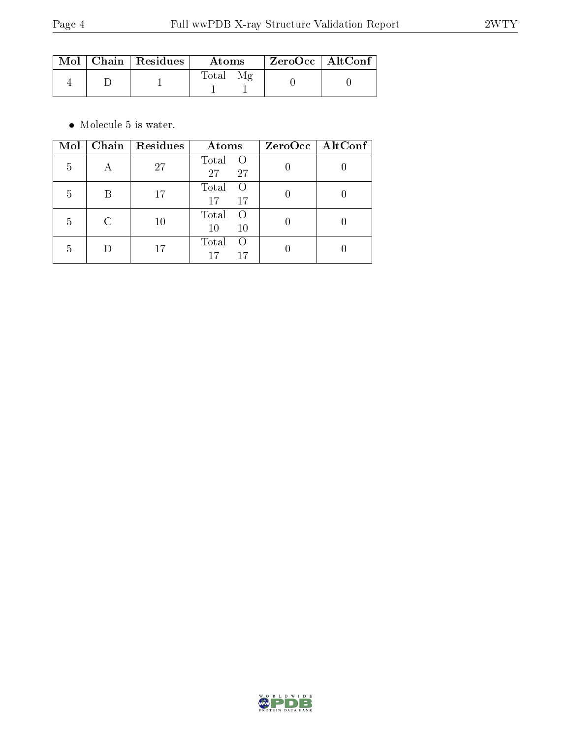|  | $\text{Mol}$   Chain   Residues | $\boldsymbol{\mathrm{Atoms}}$ | ZeroOcc   AltConf |  |
|--|---------------------------------|-------------------------------|-------------------|--|
|  |                                 | Total<br>Μg                   |                   |  |

 $\bullet\,$  Molecule 5 is water.

| Mol | Chain | Residues | Atoms                                 | $ZeroOcc$   AltConf |
|-----|-------|----------|---------------------------------------|---------------------|
| 5   |       | 27       | Total<br>$\left( \right)$<br>27<br>27 |                     |
| 5   |       | 17       | Total<br>$\left( \right)$<br>17<br>17 |                     |
| 5   |       | 10       | Total<br>$\left( \right)$<br>10<br>10 |                     |
| 5   |       | 17       | Total<br>$\left( \right)$<br>17<br>17 |                     |

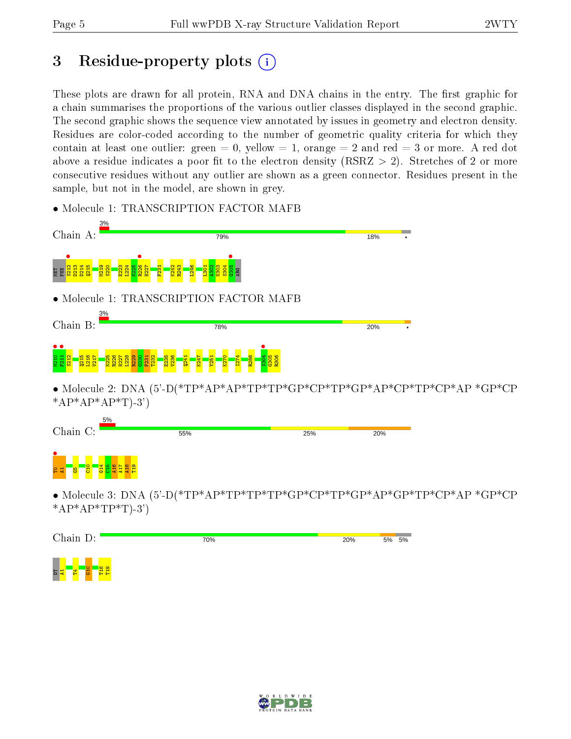# 3 Residue-property plots  $(i)$

These plots are drawn for all protein, RNA and DNA chains in the entry. The first graphic for a chain summarises the proportions of the various outlier classes displayed in the second graphic. The second graphic shows the sequence view annotated by issues in geometry and electron density. Residues are color-coded according to the number of geometric quality criteria for which they contain at least one outlier: green  $= 0$ , yellow  $= 1$ , orange  $= 2$  and red  $= 3$  or more. A red dot above a residue indicates a poor fit to the electron density (RSRZ  $> 2$ ). Stretches of 2 or more consecutive residues without any outlier are shown as a green connector. Residues present in the sample, but not in the model, are shown in grey.

• Molecule 1: TRANSCRIPTION FACTOR MAFB



• Molecule 2: DNA (5'-D(\*TP\*AP\*AP\*TP\*TP\*GP\*CP\*TP\*GP\*AP\*CP\*TP\*CP\*AP \*GP\*CP  $*AP*AP*AP*T$ -3'



• Molecule 3: DNA (5'-D(\*TP\*AP\*TP\*TP\*TP\*GP\*CP\*TP\*GP\*AP\*GP\*TP\*CP\*AP \*GP\*CP \* $AP*AP*TP*TP*T$ )-3')



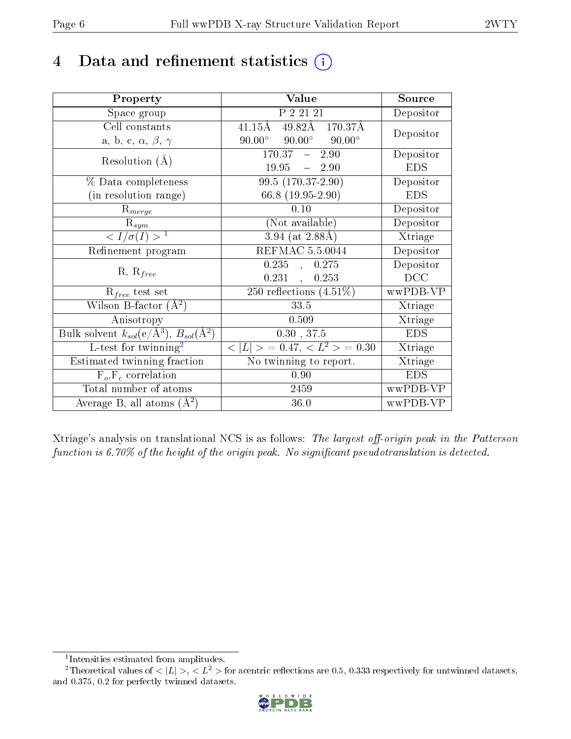# 4 Data and refinement statistics  $(i)$

| Property                                                                 | Value                                            | Source     |
|--------------------------------------------------------------------------|--------------------------------------------------|------------|
| Space group                                                              | P 2 21 21                                        | Depositor  |
| Cell constants                                                           | 49.82Å 170.37Å<br>$41.15\text{\AA}$              | Depositor  |
| a, b, c, $\alpha$ , $\beta$ , $\gamma$                                   | $90.00^{\circ}$ $90.00^{\circ}$<br>$90.00^\circ$ |            |
| Resolution $(A)$                                                         | $\overline{170.37}$ - 2.90                       | Depositor  |
|                                                                          | $19.95 = 2.90$                                   | <b>EDS</b> |
| % Data completeness                                                      | 99.5 (170.37-2.90)                               | Depositor  |
| (in resolution range)                                                    | 66.8 $(19.95-2.90)$                              | <b>EDS</b> |
| $R_{merge}$                                                              | 0.10                                             | Depositor  |
| $\mathrm{R}_{sym}$                                                       | (Not available)                                  | Depositor  |
| $\langle I/\sigma(I) \rangle^{-1}$                                       | $3.94$ (at 2.88Å)                                | Xtriage    |
| Refinement program                                                       | REFMAC 5.5.0044                                  | Depositor  |
| $R, R_{free}$                                                            | 0.235,<br>0.275                                  | Depositor  |
|                                                                          | $0.231$ ,<br>0.253                               | DCC        |
| $\mathcal{R}_{free}$ test set                                            | $250$ reflections $(4.51\%)$                     | wwPDB-VP   |
| Wilson B-factor $(A^2)$                                                  | 33.5                                             | Xtriage    |
| Anisotropy                                                               | 0.509                                            | Xtriage    |
| Bulk solvent $k_{sol}(\mathrm{e}/\mathrm{A}^3),$ $B_{sol}(\mathrm{A}^2)$ | 0.30, 37.5                                       | <b>EDS</b> |
| L-test for twinning <sup>2</sup>                                         | $< L >$ = 0.47, $< L2 >$ = 0.30                  | Xtriage    |
| Estimated twinning fraction                                              | $\overline{\text{No}}$ twinning to report.       | Xtriage    |
| $F_o, F_c$ correlation                                                   | 0.90                                             | <b>EDS</b> |
| Total number of atoms                                                    | 2459                                             | wwPDB-VP   |
| Average B, all atoms $(A^2)$                                             | 36.0                                             | wwPDB-VP   |

Xtriage's analysis on translational NCS is as follows: The largest off-origin peak in the Patterson function is  $6.70\%$  of the height of the origin peak. No significant pseudotranslation is detected.

<sup>&</sup>lt;sup>2</sup>Theoretical values of  $\langle |L| \rangle$ ,  $\langle L^2 \rangle$  for acentric reflections are 0.5, 0.333 respectively for untwinned datasets, and 0.375, 0.2 for perfectly twinned datasets.



<span id="page-5-1"></span><span id="page-5-0"></span><sup>1</sup> Intensities estimated from amplitudes.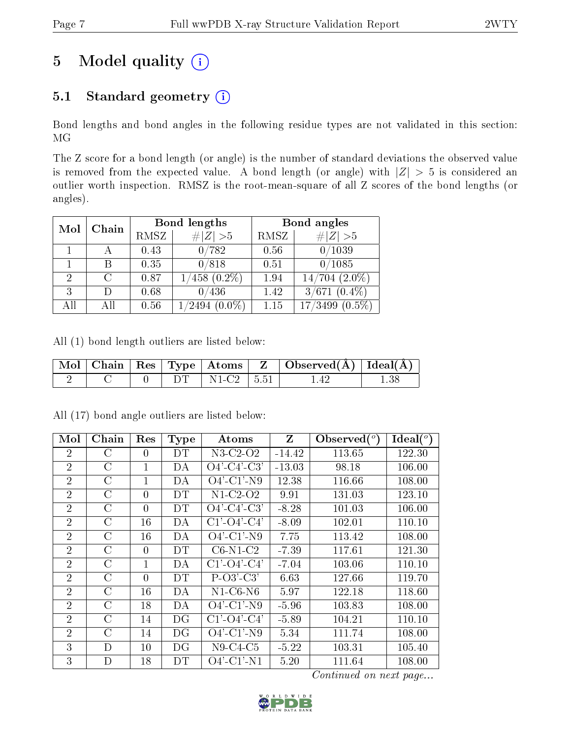# 5 Model quality  $(i)$

# 5.1 Standard geometry  $(i)$

Bond lengths and bond angles in the following residue types are not validated in this section: MG

The Z score for a bond length (or angle) is the number of standard deviations the observed value is removed from the expected value. A bond length (or angle) with  $|Z| > 5$  is considered an outlier worth inspection. RMSZ is the root-mean-square of all Z scores of the bond lengths (or angles).

|                |        |      | Bond lengths       | Bond angles |                      |  |
|----------------|--------|------|--------------------|-------------|----------------------|--|
| Chain<br>Mol   |        | RMSZ | # $ Z >5$          | RMSZ        | # $ Z >5$            |  |
|                |        | 0.43 | 0/782              | 0.56        | 0/1039               |  |
|                |        | 0.35 | 0/818              | 0.51        | 0/1085               |  |
| $\overline{2}$ | $\cap$ | 0.87 | $1/458$ $(0.2\%)$  | 1.94        | $14/704$ $(2.0\%)$   |  |
| 3              | $\Box$ | 0.68 | 0/436              | 1.42        | $3/671$ $(0.4\%)$    |  |
| All            | All    | 0.56 | $(0.0\%)$<br>/2494 | 1.15        | 17/3499<br>$(0.5\%)$ |  |

All (1) bond length outliers are listed below:

|  |  |                     | $\vert$ Mol $\vert$ Chain $\vert$ Res $\vert$ Type $\vert$ Atoms $\vert$ Z $\vert$ Observed(A) $\vert$ Ideal(A) $\vert$ |  |
|--|--|---------------------|-------------------------------------------------------------------------------------------------------------------------|--|
|  |  | $DT$   N1-C2   5.51 | 1.42                                                                                                                    |  |

| Mol            | Chain         | Res          | <b>Type</b> | Atoms                 | $Z_{\rm}$ | Observed $(°)$ | Ideal $(^\circ)$ |
|----------------|---------------|--------------|-------------|-----------------------|-----------|----------------|------------------|
| $\overline{2}$ | $\rm C$       | 0            | DТ          | N3-C2-O2              | $-14.42$  | 113.65         | 122.30           |
| $\overline{2}$ | $\rm C$       | $\mathbf{1}$ | DA          | $O4'-C4'-C3'$         | $-13.03$  | 98.18          | 106.00           |
| $\overline{2}$ | $\rm C$       | 1            | DA          | $O4'$ -C1'-N9         | 12.38     | 116.66         | 108.00           |
| $\overline{2}$ | $\rm C$       | $\theta$     | DT          | $N1-C2-O2$            | 9.91      | 131.03         | 123.10           |
| $\overline{2}$ | $\rm C$       | $\theta$     | DT          | $O4'$ -C4'-C3'        | $-8.28$   | 101.03         | 106.00           |
| $\overline{2}$ | $\rm C$       | 16           | DA          | $C1'-O4'-C4'$         | $-8.09$   | 102.01         | 110.10           |
| $\overline{2}$ | $\rm C$       | 16           | DA          | $O4'$ -C1'-N9         | 7.75      | 113.42         | 108.00           |
| $\overline{2}$ | $\rm C$       | $\theta$     | DT          | $C6-N1-C2$            | $-7.39$   | 117.61         | 121.30           |
| $\overline{2}$ | $\mathcal{C}$ | 1            | DA          | $C1'$ - $O4'$ - $C4'$ | $-7.04$   | 103.06         | 110.10           |
| $\overline{2}$ | $\mathcal C$  | $\theta$     | DT          | $P-O3'C3'$            | 6.63      | 127.66         | 119.70           |
| $\overline{2}$ | $\rm C$       | 16           | DA          | $N1-C6-N6$            | 5.97      | 122.18         | 118.60           |
| $\overline{2}$ | $\mathcal{C}$ | 18           | DA          | $O4'$ -C1'-N9         | $-5.96$   | 103.83         | 108.00           |
| $\overline{2}$ | $\rm C$       | 14           | DG          | $C1'$ - $O4'$ - $C4'$ | $-5.89$   | 104.21         | 110.10           |
| $\overline{2}$ | $\rm C$       | 14           | DG          | $O4'$ -C1'-N9         | 5.34      | 111.74         | 108.00           |
| 3              | D             | 10           | DG          | $N9-C4-C5$            | $-5.22$   | 103.31         | 105.40           |
| 3              | D             | 18           | DT          | $O4'$ -C1'-N1         | 5.20      | 111.64         | 108.00           |

All (17) bond angle outliers are listed below:

Continued on next page...

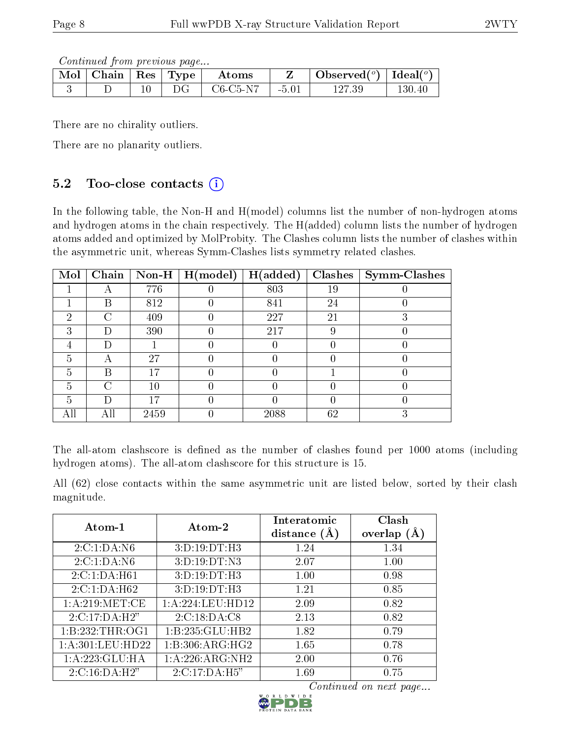Continued from previous page...

| Mol   Chain | $\vert$ Res $\vert$ | Type                                | Atoms    |         | Observed $(°)$ | Ideal $(^\circ)$ |
|-------------|---------------------|-------------------------------------|----------|---------|----------------|------------------|
|             |                     | $\cup$ $\left( \frac{1}{2} \right)$ | C6-C5-N7 | $-5.01$ |                | $130.40\,$       |

There are no chirality outliers.

There are no planarity outliers.

## 5.2 Too-close contacts  $(i)$

In the following table, the Non-H and H(model) columns list the number of non-hydrogen atoms and hydrogen atoms in the chain respectively. The H(added) column lists the number of hydrogen atoms added and optimized by MolProbity. The Clashes column lists the number of clashes within the asymmetric unit, whereas Symm-Clashes lists symmetry related clashes.

| Mol | Chain |        | Non-H $\mid$ H(model) | H(added) | Clashes | <b>Symm-Clashes</b> |
|-----|-------|--------|-----------------------|----------|---------|---------------------|
|     |       | 776    |                       | 803      | 19      |                     |
|     | В     | 812    |                       | 841      | 24      |                     |
| 2   |       | 409    |                       | 227      | 21      |                     |
| 3   | Ð     | 390    |                       | 217      | 9       |                     |
|     |       |        |                       |          |         |                     |
| 5   |       | 27     |                       |          |         |                     |
| 5   | В     | 17     |                       |          |         |                     |
| 5   | ⊖     | $10\,$ |                       |          |         |                     |
| 5   |       |        |                       |          |         |                     |
|     |       | 2459   |                       | 2088     | 62      |                     |

The all-atom clashscore is defined as the number of clashes found per 1000 atoms (including hydrogen atoms). The all-atom clashscore for this structure is 15.

All (62) close contacts within the same asymmetric unit are listed below, sorted by their clash magnitude.

| Atom-1               | Atom-2             | Interatomic<br>distance $(A)$ | Clash<br>overlap $(A)$ |
|----------------------|--------------------|-------------------------------|------------------------|
| 2:C:1:DA:N6          | 3: D: 19: DT:H3    | 1.24                          | 1.34                   |
| 2:C:1:DA:N6          | 3:D:19:DT:N3       | 2.07                          | 1.00                   |
| 2:C:1:DA:H61         | 3:D:19:DT:H3       | 1.00                          | 0.98                   |
| 2:C:1:DA:H62         | 3:D:19:DT:H3       | 1.21                          | 0.85                   |
| 1: A:219: MET:CE     | 1:A:224:LEU:HD12   | 2.09                          | 0.82                   |
| 2:C:17:DA:H2"        | 2:C:18:DA:C8       | 2.13                          | 0.82                   |
| 1:B:232:THR:OG1      | 1:B:235:GLU:HB2    | 1.82                          | 0.79                   |
| 1: A: 301: LEU: HD22 | 1: B:306: ARG: HG2 | 1.65                          | 0.78                   |
| 1:A:223:GLU:HA       | 1:A:226:ARG:NH2    | 2.00                          | 0.76                   |
| 2: C: 16: DA:H2"     | 2:C:17:DA:H5"      | 1.69                          | 0.75                   |

Continued on next page...

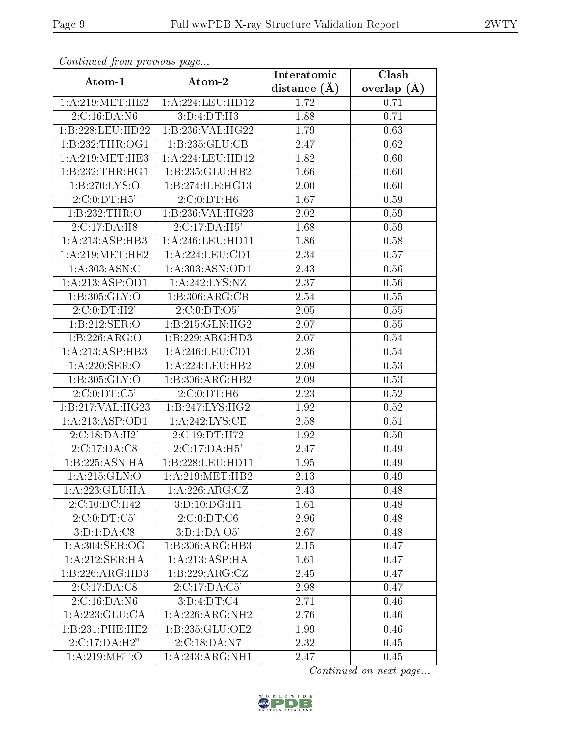| Continued from previous page |                     | Interatomic      | Clash             |  |
|------------------------------|---------------------|------------------|-------------------|--|
| Atom-1                       | Atom-2              | distance $(\AA)$ | overlap $(A)$     |  |
| 1: A:219:MET:HE2             | 1:A:224:LEU:HD12    | 1.72             | 0.71              |  |
| 2:C:16:DA:N6                 | 3:D:4:DT:H3         | 1.88             | 0.71              |  |
| 1:B:228:LEU:HD22             | 1:B:236:VAL:HG22    | 1.79             | 0.63              |  |
| 1:B:232:THR:OG1              | 1:B:235:GLU:CB      | 2.47             | 0.62              |  |
| 1: A:219: MET:HE3            | 1:A:224:LEU:HD12    | 1.82             | 0.60              |  |
| 1:B:232:THR:HGI              | 1:B:235:GLU:HB2     | 1.66             | 0.60              |  |
| 1: B:270: LYS:O              | 1:B:274:ILE:HG13    | 2.00             | 0.60              |  |
| 2:C:0:DT:H5'                 | 2:C:0:DT:H6         | 1.67             | 0.59              |  |
| $1:B:232:\overline{THR:O}$   | 1:B:236:VAL:HG23    | 2.02             | 0.59              |  |
| 2:C:17:DA:H8                 | 2:C:17:DA:H5'       | 1.68             | 0.59              |  |
| 1:A:213:ASP:HB3              | 1:A:246:LEU:HD11    | 1.86             | 0.58              |  |
| 1: A:219: MET:HE2            | 1:A:224:LEU:CD1     | 2.34             | 0.57              |  |
| 1:A:303:ASN:C                | 1: A: 303: ASN: OD1 | 2.43             | 0.56              |  |
| 1: A: 213: ASP: OD1          | 1:A:242:LYS:NZ      | 2.37             | 0.56              |  |
| 1: B: 305: GLY:O             | 1:B:306:ARG:CB      | 2.54             | 0.55              |  |
| 2:C:0:DT:H2'                 | 2:C:0:DT:O5'        | 2.05             | 0.55              |  |
| 1:B:212:SER:O                | 1:B:215:GLN:HG2     | 2.07             | 0.55              |  |
| 1:B:226:ARG:O                | 1:B:229:ARG:HD3     | 2.07             | 0.54              |  |
| 1:A:213:ASP:HB3              | 1:A:246:LEU:CD1     | 2.36             | 0.54              |  |
| 1: A:220: SER:O              | 1: A:224:LEU:HB2    | 2.09             | 0.53              |  |
| 1: B: 305: GLY:O             | 1:B:306:ARG:HB2     | 2.09             | 0.53              |  |
| 2:C:0:DT:C5'                 | 2:C:0:DT:H6         | 2.23             | 0.52              |  |
| 1:B:217:VAL:HG23             | 1:B:247:LYS:HG2     | 1.92             | 0.52              |  |
| 1: A: 213: ASP: OD1          | 1: A:242: LYS: CE   | 2.58             | 0.51              |  |
| 2: C: 18:DA: H2'             | 2:C:19:DT:H72       | 1.92             | 0.50              |  |
| 2:C:17:DA:C8                 | 2:C:17:DA:H5'       | 2.47             | 0.49              |  |
| 1:B:225:ASN:HA               | 1:B:228:LEU:HD11    | 1.95             | 0.49              |  |
| 1: A:215: GLN:O              | 1: A:219: MET:HB2   | 2.13             | 0.49              |  |
| 1:A:223:GLU:HA               | 1: A:226:ARG:CZ     | 2.43             | 0.48              |  |
| 2:C:10:DC:H42                | 3:D:10:DG:H1        | 1.61             | 0.48              |  |
| 2:C:0:DT:C5'                 | 2:C:0:DT:C6         | 2.96             | 0.48              |  |
| 3:D:1:DA:C8                  | 3:D:1:DA:O5'        | 2.67             | 0.48              |  |
| 1: A:304: SER:OG             | 1:B:306:ARG:HB3     | 2.15             | 0.47              |  |
| 1:A:212:SER:HA               | 1:A:213:ASP:HA      | 1.61             | 0.47              |  |
| 1:B:226:ARG:HD3              | 1:B:229:ARG:CZ      | 2.45             | 0.47              |  |
| 2:C:17:DA:C8                 | 2:C:17:DA:C5'       | 2.98             | 0.47              |  |
| 2:C:16:DA:N6                 | 3: D: 4: DT: C4     | 2.71             | 0.46              |  |
| 1: A: 223: GLU: CA           | 1:A:226:ARG:NH2     | 2.76             | 0.46              |  |
| 1:B:231:PHE:HE2              | 1:B:235:GLU:OE2     | 1.99             | 0.46              |  |
| 2:C:17:DA:H2"                | 2:C:18:DA:N7        | 2.32             | $\overline{0}.45$ |  |
| 1:A:219:MET:O                | 1:A:243:ARG:NH1     | 2.47             | 0.45              |  |

Continued from previous page.

Continued on next page...

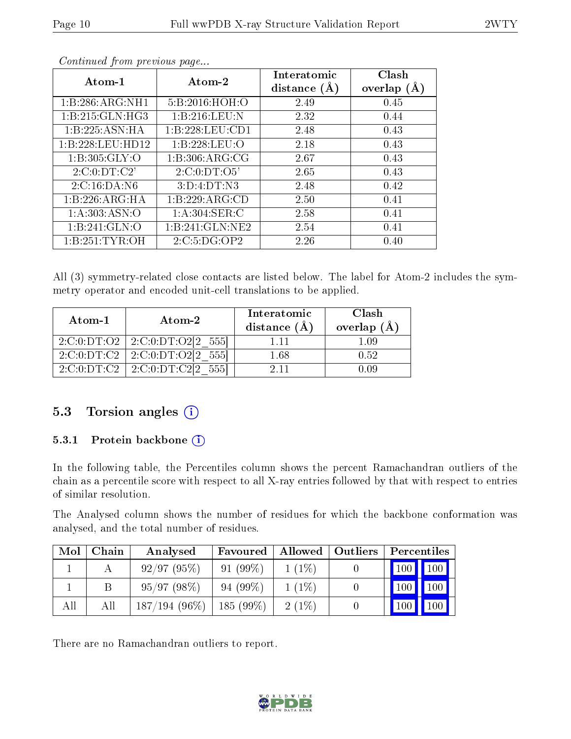| Atom-1             | Atom-2             | Interatomic<br>distance $(A)$ | Clash<br>overlap $(A)$ |
|--------------------|--------------------|-------------------------------|------------------------|
| 1:B:286:ARG:NH1    | 5:B:2016:HOH:O     | 2.49                          | 0.45                   |
| 1: B:215: GLN: HG3 | 1:B:216:LEU:N      | 2.32                          | 0.44                   |
| 1:B:225:ASN:HA     | 1:B:228:LEU:CD1    | 2.48                          | 0.43                   |
| 1:B:228:LEU:HD12   | 1:B:228:LEU:O      | 2.18                          | 0.43                   |
| 1: B:305: GLY:O    | 1: B: 306: ARG: CG | 2.67                          | 0.43                   |
| 2:C:0:DT:C2'       | 2:C:0:DT:O5'       | 2.65                          | 0.43                   |
| 2:C:16:DA:N6       | 3:D:4:DT:N3        | 2.48                          | 0.42                   |
| 1:B:226:ARG:HA     | 1:B:229:ARG:CD     | 2.50                          | 0.41                   |
| 1: A: 303: ASN: O  | 1: A:304: SER: C   | 2.58                          | 0.41                   |
| 1:B:241:GLN:O      | 1:B:241:GLN:NE2    | 2.54                          | 0.41                   |
| 1: B: 251: TYR: OH | 2:C:5:DG:OP2       | 2.26                          | 0.40                   |

Continued from previous page...

All (3) symmetry-related close contacts are listed below. The label for Atom-2 includes the symmetry operator and encoded unit-cell translations to be applied.

| Atom-1                                   | $\boldsymbol{\mathrm{Atom}\text{-}2}$ | Interatomic<br>distance $(\AA)$ | Clash<br>overlap $(\AA)$ |
|------------------------------------------|---------------------------------------|---------------------------------|--------------------------|
| 2:C:0:DT:O2                              | 2:C:0:DT:O2[2 555]                    | 1.11                            | 1.09                     |
| 2:C:0:DT:C2                              | 2:C:0:DT:O2[2]<br>-5551               | 1.68                            | 0.52                     |
| $2:\mathrm{C}:0:\mathrm{DT}:\mathrm{C2}$ | 2:C:0:DT:Cl2<br>-5551                 | 2 1 1                           | 0.09                     |

## 5.3 Torsion angles (i)

#### 5.3.1 Protein backbone (i)

In the following table, the Percentiles column shows the percent Ramachandran outliers of the chain as a percentile score with respect to all X-ray entries followed by that with respect to entries of similar resolution.

The Analysed column shows the number of residues for which the backbone conformation was analysed, and the total number of residues.

| Mol | Chain | Analysed        | Favoured   | Allowed  | Outliers | Percentiles         |                    |
|-----|-------|-----------------|------------|----------|----------|---------------------|--------------------|
|     |       | 92/97(95%)      | $91(99\%)$ | $1(1\%)$ |          | $\vert$ 100 $\vert$ | $\blacksquare$ 100 |
|     |       | 95/97(98%)      | $94(99\%)$ | $1(1\%)$ |          | $100 \mid$          | $\sqrt{100}$       |
| All | All   | $187/194(96\%)$ | 185 (99%)  | $2(1\%)$ |          | 100                 | 100                |

There are no Ramachandran outliers to report.

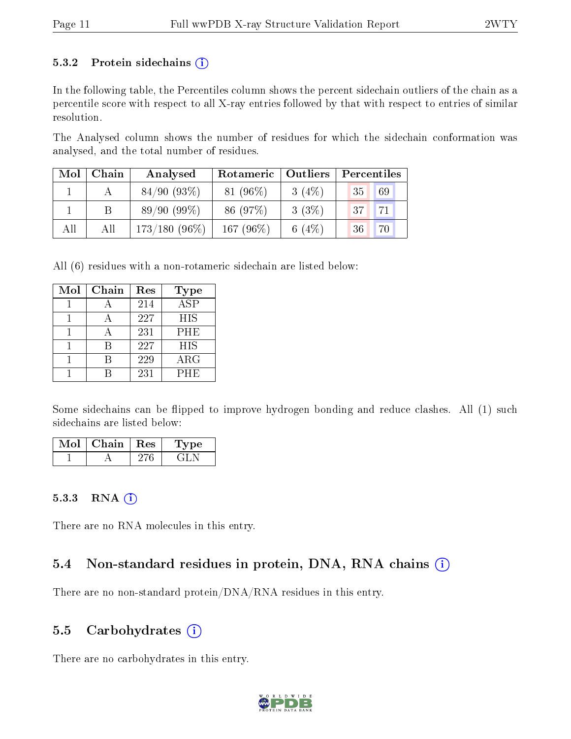#### 5.3.2 Protein sidechains  $(i)$

In the following table, the Percentiles column shows the percent sidechain outliers of the chain as a percentile score with respect to all X-ray entries followed by that with respect to entries of similar resolution.

The Analysed column shows the number of residues for which the sidechain conformation was analysed, and the total number of residues.

| Mol | Chain | Analysed        | Rotameric    | $\mid$ Outliers | Percentiles           |
|-----|-------|-----------------|--------------|-----------------|-----------------------|
|     |       | 84/90(93%)      | $81(96\%)$   | $3(4\%)$        | 69<br>35              |
|     |       | 89/90(99%)      | 86 (97%)     | $3(3\%)$        | 71<br>37 <sup>1</sup> |
| All | All   | $173/180(96\%)$ | 167 $(96\%)$ | 6 $(4%)$        | $\overline{70}$<br>36 |

All (6) residues with a non-rotameric sidechain are listed below:

| Mol | Chain | Res | Type       |
|-----|-------|-----|------------|
|     |       | 214 | <b>ASP</b> |
|     |       | 227 | <b>HIS</b> |
|     |       | 231 | <b>PHE</b> |
|     |       | 227 | <b>HIS</b> |
|     |       | 229 | $\rm{ARG}$ |
|     |       | 231 | PHE        |

Some sidechains can be flipped to improve hydrogen bonding and reduce clashes. All (1) such sidechains are listed below:

| Mol | ${\rm Chain \mid Res}$ | Type |
|-----|------------------------|------|
|     |                        |      |

#### 5.3.3 RNA (i)

There are no RNA molecules in this entry.

### 5.4 Non-standard residues in protein, DNA, RNA chains  $(i)$

There are no non-standard protein/DNA/RNA residues in this entry.

### 5.5 Carbohydrates  $(i)$

There are no carbohydrates in this entry.

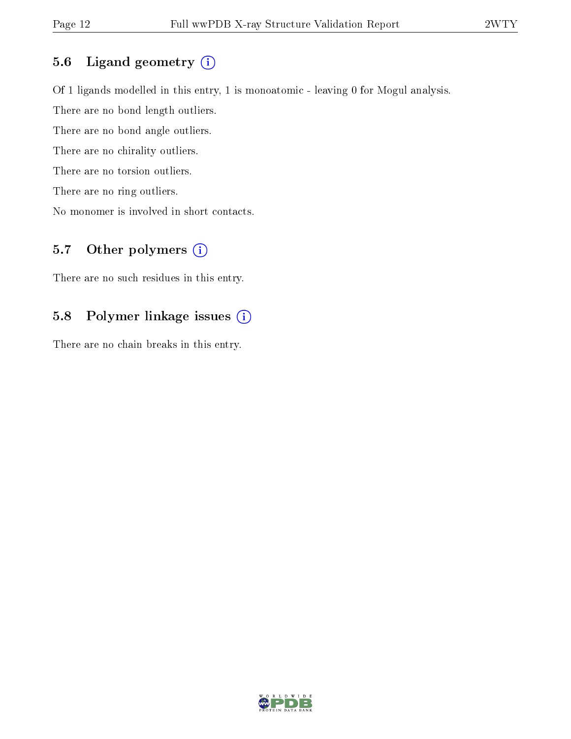### 5.6 Ligand geometry (i)

Of 1 ligands modelled in this entry, 1 is monoatomic - leaving 0 for Mogul analysis.

There are no bond length outliers.

There are no bond angle outliers.

There are no chirality outliers.

There are no torsion outliers.

There are no ring outliers.

No monomer is involved in short contacts.

# 5.7 [O](https://www.wwpdb.org/validation/2017/XrayValidationReportHelp#nonstandard_residues_and_ligands)ther polymers (i)

There are no such residues in this entry.

### 5.8 Polymer linkage issues (i)

There are no chain breaks in this entry.

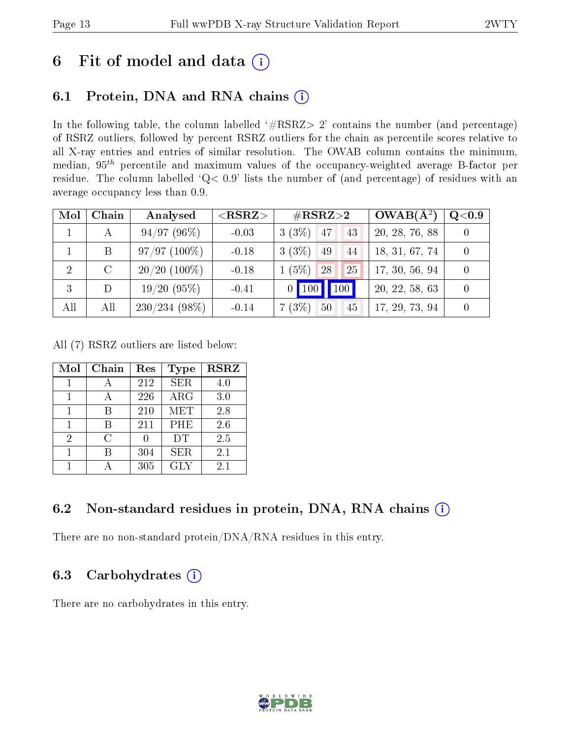# 6 Fit of model and data  $(i)$

# 6.1 Protein, DNA and RNA chains  $(i)$

In the following table, the column labelled  $#RSRZ> 2'$  contains the number (and percentage) of RSRZ outliers, followed by percent RSRZ outliers for the chain as percentile scores relative to all X-ray entries and entries of similar resolution. The OWAB column contains the minimum, median,  $95<sup>th</sup>$  percentile and maximum values of the occupancy-weighted average B-factor per residue. The column labelled ' $Q< 0.9$ ' lists the number of (and percentage) of residues with an average occupancy less than 0.9.

| Mol | Chain   | Analysed        | ${ <\hspace{-1.5pt}{\mathrm{RSRZ}} \hspace{-1.5pt}>}$ | $\rm \#RSRZ{>}2$                 | $OWAB(A^2)$    | Q <sub>0.9</sub> |
|-----|---------|-----------------|-------------------------------------------------------|----------------------------------|----------------|------------------|
|     |         | 94/97(96%)      | $-0.03$                                               | $3(3\%)$ 47<br>43                | 20, 28, 76, 88 |                  |
|     | B       | $97/97(100\%)$  | $-0.18$                                               | $3(3\%)$<br>49<br>44             | 18, 31, 67, 74 |                  |
| 2   | $\rm C$ | $20/20$ (100%)  | $-0.18$                                               | $(5\%)$ .<br><sup>28</sup><br>25 | 17, 30, 56, 94 |                  |
| 3   | D       | 19/20(95%)      | $-0.41$                                               | $100 \mid$<br>$0$   100          | 20, 22, 58, 63 |                  |
| All | All     | $230/234(98\%)$ | $-0.14$                                               | 7(3%)<br>50<br>45                | 17, 29, 73, 94 |                  |

All (7) RSRZ outliers are listed below:

| Mol | Chain | Res | Type       | <b>RSRZ</b> |
|-----|-------|-----|------------|-------------|
|     |       | 212 | <b>SER</b> | 4.0         |
|     |       | 226 | $\rm{ARG}$ | 3.0         |
|     |       | 210 | <b>MET</b> | 2.8         |
| 1   | R     | 211 | PHE        | 2.6         |
| 2   | C     |     | DT         | 2.5         |
|     |       | 304 | <b>SER</b> | 2.1         |
|     |       | 305 | <b>GLY</b> | 2.1         |

## 6.2 Non-standard residues in protein, DNA, RNA chains  $(i)$

There are no non-standard protein/DNA/RNA residues in this entry.

## 6.3 Carbohydrates  $(i)$

There are no carbohydrates in this entry.